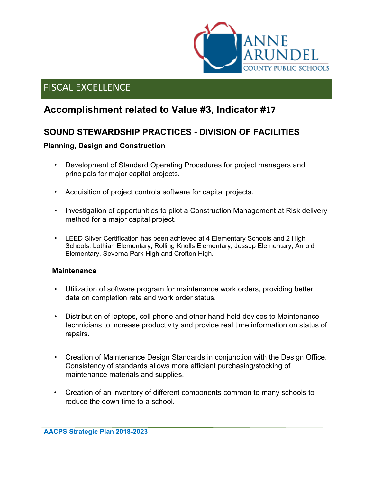

## **Accomplishment related to Value #3, Indicator #17**

### **SOUND STEWARDSHIP PRACTICES - DIVISION OF FACILITIES**

### **Planning, Design and Construction**

- Development of Standard Operating Procedures for project managers and principals for major capital projects.
- Acquisition of project controls software for capital projects.
- Investigation of opportunities to pilot a Construction Management at Risk delivery method for a major capital project.
- LEED Silver Certification has been achieved at 4 Elementary Schools and 2 High Schools: Lothian Elementary, Rolling Knolls Elementary, Jessup Elementary, Arnold Elementary, Severna Park High and Crofton High.

#### **Maintenance**

- Utilization of software program for maintenance work orders, providing better data on completion rate and work order status.
- Distribution of laptops, cell phone and other hand-held devices to Maintenance technicians to increase productivity and provide real time information on status of repairs.
- Creation of Maintenance Design Standards in conjunction with the Design Office. Consistency of standards allows more efficient purchasing/stocking of maintenance materials and supplies.
- Creation of an inventory of different components common to many schools to reduce the down time to a school.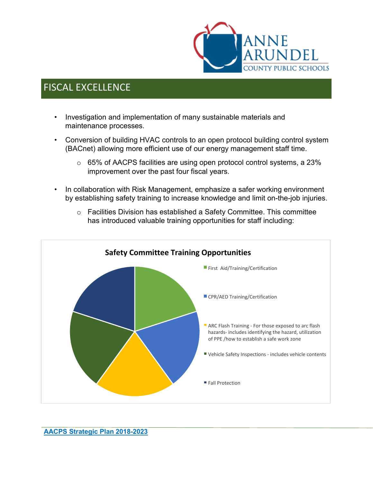

- Investigation and implementation of many sustainable materials and maintenance processes.
- Conversion of building HVAC controls to an open protocol building control system (BACnet) allowing more efficient use of our energy management staff time.
	- $\circ$  65% of AACPS facilities are using open protocol control systems, a 23% improvement over the past four fiscal years.
- In collaboration with Risk Management, emphasize a safer working environment by establishing safety training to increase knowledge and limit on-the-job injuries.



o Facilities Division has established a Safety Committee. This committee has introduced valuable training opportunities for staff including: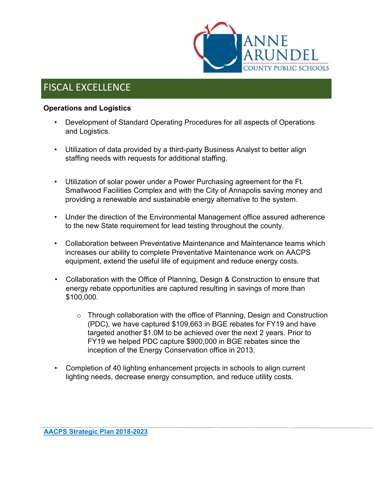

#### **Operations and Logistics**

- Development of Standard Operating Procedures for all aspects of Operations and Logistics.
- Utilization of data provided by a third-party Business Analyst to better align staffing needs with requests for additional staffing.
- Utilization of solar power under a Power Purchasing agreement for the Ft. Smallwood Facilities Complex and with the City of Annapolis saving money and providing a renewable and sustainable energy alternative to the system.
- Under the direction of the Environmental Management office assured adherence to the new State requirement for lead testing throughout the county.
- Collaboration between Preventative Maintenance and Maintenance teams which increases our ability to complete Preventative Maintenance work on AACPS equipment, extend the useful life of equipment and reduce energy costs.
- Collaboration with the Office of Planning, Design & Construction to ensure that energy rebate opportunities are captured resulting in savings of more than \$100,000.
	- o Through collaboration with the office of Planning, Design and Construction (PDC), we have captured \$109,663 in BGE rebates for FY19 and have targeted another \$1.0M to be achieved over the next 2 years. Prior to FY19 we helped PDC capture \$900,000 in BGE rebates since the inception of the Energy Conservation office in 2013.
- Completion of 40 lighting enhancement projects in schools to align current lighting needs, decrease energy consumption, and reduce utility costs.